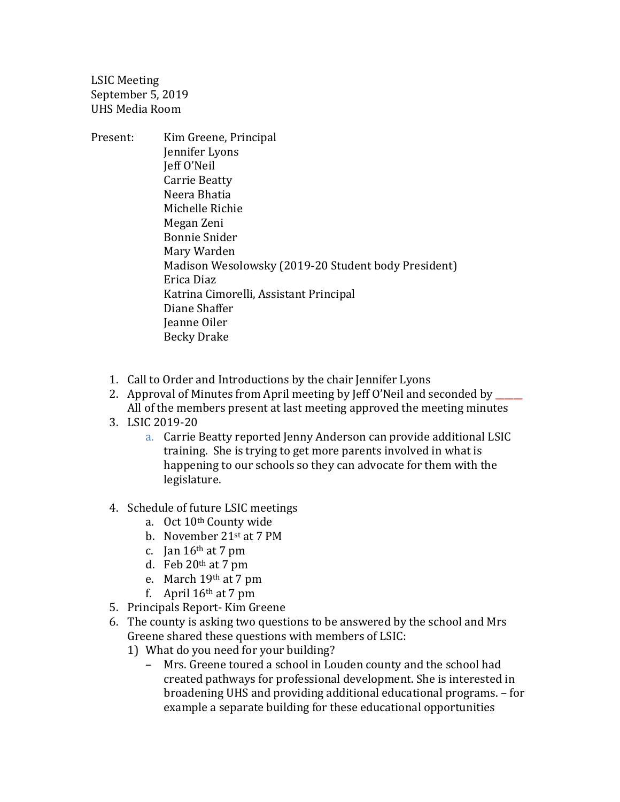LSIC Meeting September 5, 2019 UHS Media Room

- Present: Kim Greene, Principal Jennifer Lyons Jeff O'Neil Carrie Beatty Neera Bhatia Michelle Richie Megan Zeni Bonnie Snider Mary Warden Madison Wesolowsky (2019-20 Student body President) Erica Diaz Katrina Cimorelli, Assistant Principal Diane Shaffer Jeanne Oiler Becky Drake
	- 1. Call to Order and Introductions by the chair Jennifer Lyons
	- 2. Approval of Minutes from April meeting by Jeff O'Neil and seconded by \_\_\_\_\_\_ All of the members present at last meeting approved the meeting minutes
	- 3. LSIC 2019-20
		- a. Carrie Beatty reported Jenny Anderson can provide additional LSIC training. She is trying to get more parents involved in what is happening to our schools so they can advocate for them with the legislature.
	- 4. Schedule of future LSIC meetings
		- a. Oct 10th County wide
		- b. November 21st at 7 PM
		- c. Jan  $16<sup>th</sup>$  at 7 pm
		- d. Feb  $20<sup>th</sup>$  at 7 pm
		- e. March 19th at 7 pm
		- f. April  $16<sup>th</sup>$  at 7 pm
	- 5. Principals Report- Kim Greene
	- 6. The county is asking two questions to be answered by the school and Mrs Greene shared these questions with members of LSIC:
		- 1) What do you need for your building?
			- Mrs. Greene toured a school in Louden county and the school had created pathways for professional development. She is interested in broadening UHS and providing additional educational programs. – for example a separate building for these educational opportunities